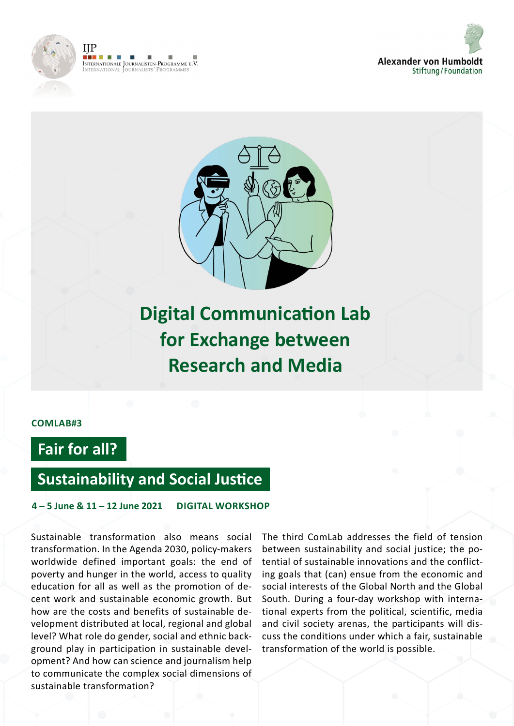





**Digital Communication Lab for Exchange between Research and Media**

### **COMLAB#3**

# **Fair for all?**

## **Sustainability and Social Justice**

**4 – 5 June & 11 – 12 June 2021 DIGITAL WORKSHOP**

Sustainable transformation also means social transformation. In the Agenda 2030, policy-makers worldwide defined important goals: the end of poverty and hunger in the world, access to quality education for all as well as the promotion of decent work and sustainable economic growth. But how are the costs and benefits of sustainable development distributed at local, regional and global level? What role do gender, social and ethnic background play in participation in sustainable development? And how can science and journalism help to communicate the complex social dimensions of sustainable transformation?

The third ComLab addresses the field of tension between sustainability and social justice; the potential of sustainable innovations and the conflicting goals that (can) ensue from the economic and social interests of the Global North and the Global South. During a four-day workshop with international experts from the political, scientific, media and civil society arenas, the participants will discuss the conditions under which a fair, sustainable transformation of the world is possible.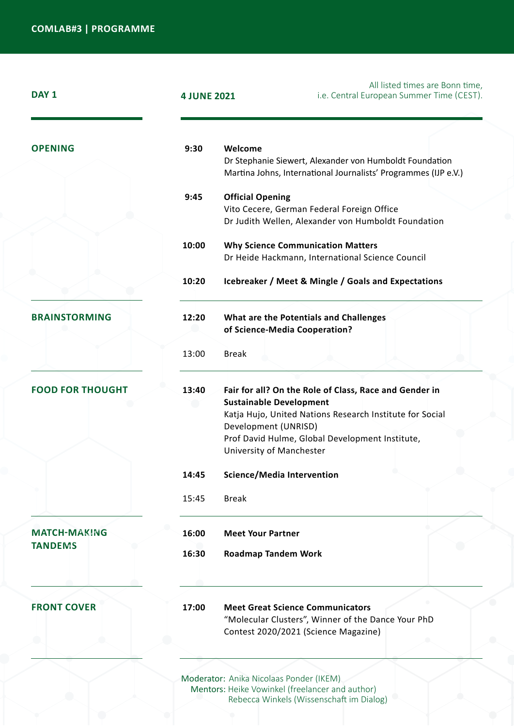| DAY <sub>1</sub>                      | <b>4 JUNE 2021</b> | All listed times are Bonn time,<br>i.e. Central European Summer Time (CEST).                                                                                                                                                                                |
|---------------------------------------|--------------------|-------------------------------------------------------------------------------------------------------------------------------------------------------------------------------------------------------------------------------------------------------------|
| <b>OPENING</b>                        | 9:30               | Welcome<br>Dr Stephanie Siewert, Alexander von Humboldt Foundation<br>Martina Johns, International Journalists' Programmes (IJP e.V.)                                                                                                                       |
|                                       | 9:45               | <b>Official Opening</b><br>Vito Cecere, German Federal Foreign Office<br>Dr Judith Wellen, Alexander von Humboldt Foundation                                                                                                                                |
|                                       | 10:00              | <b>Why Science Communication Matters</b><br>Dr Heide Hackmann, International Science Council                                                                                                                                                                |
|                                       | 10:20              | Icebreaker / Meet & Mingle / Goals and Expectations                                                                                                                                                                                                         |
| <b>BRAINSTORMING</b>                  | 12:20              | What are the Potentials and Challenges<br>of Science-Media Cooperation?                                                                                                                                                                                     |
|                                       | 13:00              | <b>Break</b>                                                                                                                                                                                                                                                |
| <b>FOOD FOR THOUGHT</b>               | 13:40              | Fair for all? On the Role of Class, Race and Gender in<br><b>Sustainable Development</b><br>Katja Hujo, United Nations Research Institute for Social<br>Development (UNRISD)<br>Prof David Hulme, Global Development Institute,<br>University of Manchester |
|                                       | 14:45              | <b>Science/Media Intervention</b>                                                                                                                                                                                                                           |
|                                       | 15:45              | <b>Break</b>                                                                                                                                                                                                                                                |
| <b>MATCH-MAKING</b><br><b>TANDEMS</b> | 16:00              | <b>Meet Your Partner</b>                                                                                                                                                                                                                                    |
|                                       | 16:30              | <b>Roadmap Tandem Work</b>                                                                                                                                                                                                                                  |
|                                       |                    |                                                                                                                                                                                                                                                             |
| <b>FRONT COVER</b>                    | 17:00              | <b>Meet Great Science Communicators</b><br>"Molecular Clusters", Winner of the Dance Your PhD<br>Contest 2020/2021 (Science Magazine)                                                                                                                       |
|                                       |                    | Moderator: Anika Nicolaas Ponder (IKEM)                                                                                                                                                                                                                     |

Mentors: Heike Vowinkel (freelancer and author) Rebecca Winkels (Wissenschaft im Dialog)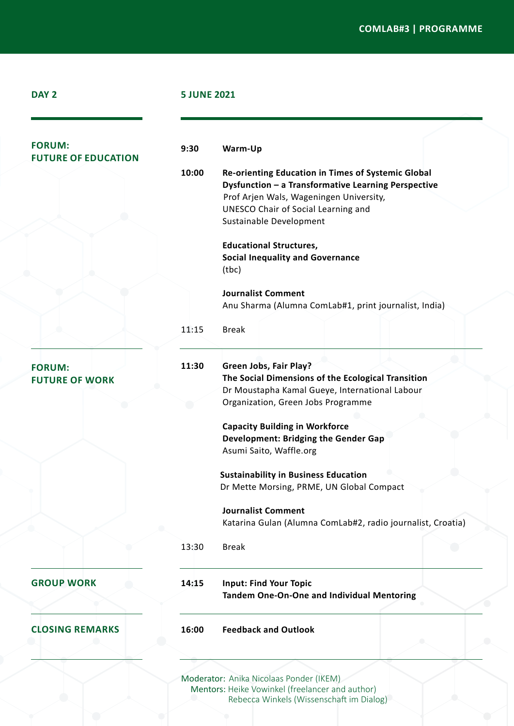#### **COMLAB#3 | PROGRAMME**

|  | I |
|--|---|
|  |   |

#### **DAY 2 5 JUNE 2021**

**9:30**

| <b>FORUM:</b> |                            |
|---------------|----------------------------|
|               | <b>FUTURE OF EDUCATION</b> |

**Warm-Up** 

**10:00 Re-orienting Education in Times of Systemic Global Dysfunction – a Transformative Learning Perspective**  Prof Arjen Wals, Wageningen University, UNESCO Chair of Social Learning and Sustainable Development

#### , **ne en en en** (?) ^}]b/obb Prof Boike Rehbein, Humboldt-Universität

**Journalist Comment**  Anu Sharma (Alumna ComLab#1, print journalist, India)

11:15 Break

**FORUM: FUTURE OF WORK**

**11:30 Green Jobs, Fair Play? The Social Dimensions of the Ecological Transition**  Dr Moustapha Kamal Gueye, International Labour Organization, Green Jobs Programme

> **Capacity Building in Workforce Development: Bridging the Gender Gap** Asumi Saito, Waffle.org

**Sustainability in Business Education** Dr Mette Morsing, PRME, UN Global Compact

**Journalist Comment**  Katarina Gulan (Alumna ComLab#2, radio journalist, Croatia)

13:30 Break

**GROUP WORK**

**CLOSING REMARKS**

**14:15 Input: Find Your Topic Tandem One-On-One and Individual Mentoring**

**16:00 Feedback and Outlook**

Moderator: Anika Nicolaas Ponder (IKEM) Mentors: Heike Vowinkel (freelancer and author) Rebecca Winkels (Wissenschaft im Dialog)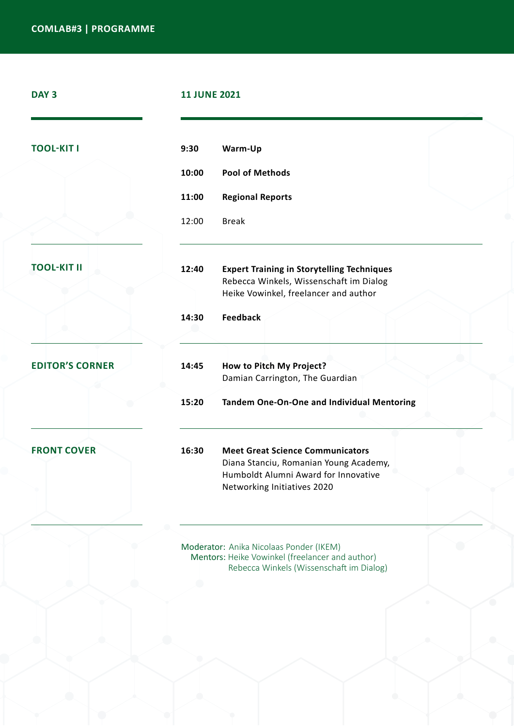| DAY <sub>3</sub>       | <b>11 JUNE 2021</b>                                                                                                                                               |  |
|------------------------|-------------------------------------------------------------------------------------------------------------------------------------------------------------------|--|
| <b>TOOL-KIT I</b>      | 9:30<br>Warm-Up                                                                                                                                                   |  |
|                        | <b>Pool of Methods</b><br>10:00                                                                                                                                   |  |
|                        | 11:00<br><b>Regional Reports</b>                                                                                                                                  |  |
|                        | <b>Break</b><br>12:00                                                                                                                                             |  |
| <b>TOOL-KIT II</b>     | 12:40<br><b>Expert Training in Storytelling Techniques</b><br>Rebecca Winkels, Wissenschaft im Dialog<br>Heike Vowinkel, freelancer and author                    |  |
|                        | <b>Feedback</b><br>14:30                                                                                                                                          |  |
| <b>EDITOR'S CORNER</b> | 14:45<br>How to Pitch My Project?<br>Damian Carrington, The Guardian                                                                                              |  |
|                        | 15:20<br>Tandem One-On-One and Individual Mentoring                                                                                                               |  |
| <b>FRONT COVER</b>     | 16:30<br><b>Meet Great Science Communicators</b><br>Diana Stanciu, Romanian Young Academy,<br>Humboldt Alumni Award for Innovative<br>Networking Initiatives 2020 |  |
|                        | Moderator: Anika Nicolaas Ponder (IKEM)<br>Mentors: Heike Vowinkel (freelancer and author)                                                                        |  |

Rebecca Winkels (Wissenschaft im Dialog)